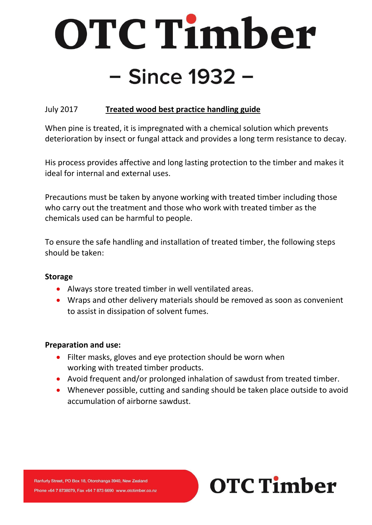# OTC Timber - Since 1932 -

## July 2017 **Treated wood best practice handling guide**

When pine is treated, it is impregnated with a chemical solution which prevents deterioration by insect or fungal attack and provides a long term resistance to decay.

His process provides affective and long lasting protection to the timber and makes it ideal for internal and external uses.

Precautions must be taken by anyone working with treated timber including those who carry out the treatment and those who work with treated timber as the chemicals used can be harmful to people.

To ensure the safe handling and installation of treated timber, the following steps should be taken:

### **Storage**

- Always store treated timber in well ventilated areas.
- Wraps and other delivery materials should be removed as soon as convenient to assist in dissipation of solvent fumes.

### **Preparation and use:**

- Filter masks, gloves and eye protection should be worn when working with treated timber products.
- Avoid frequent and/or prolonged inhalation of sawdust from treated timber.
- Whenever possible, cutting and sanding should be taken place outside to avoid accumulation of airborne sawdust.

**OTC Timber**